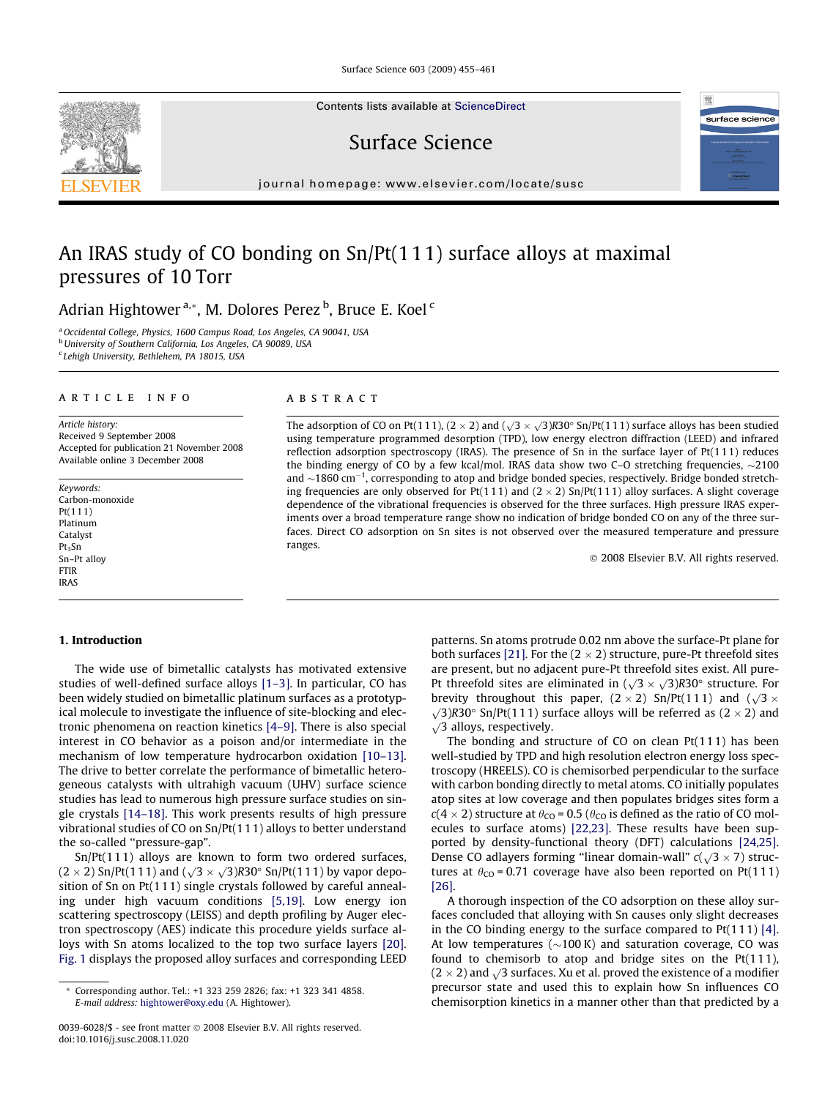Surface Science 603 (2009) 455–461

Contents lists available at [ScienceDirect](http://www.sciencedirect.com/science/journal/00396028)

Surface Science

journal homepage: [www.elsevier.com/locate/susc](http://www.elsevier.com/locate/susc)

# An IRAS study of CO bonding on Sn/Pt(1 1 1) surface alloys at maximal pressures of 10 Torr

Adrian Hightower <sup>a,</sup>\*, M. Dolores Perez <sup>b</sup>, Bruce E. Koel <sup>c</sup>

<sup>a</sup> Occidental College, Physics, 1600 Campus Road, Los Angeles, CA 90041, USA **b University of Southern California, Los Angeles, CA 90089, USA** <sup>c</sup> Lehigh University, Bethlehem, PA 18015, USA

#### article info

Article history: Received 9 September 2008 Accepted for publication 21 November 2008 Available online 3 December 2008

Keywords: Carbon-monoxide Pt(11 1) Platinum Catalyst Pt<sub>3</sub>Sn Sn–Pt alloy FTIR IRAS

## 1. Introduction

The wide use of bimetallic catalysts has motivated extensive studies of well-defined surface alloys [\[1–3\]](#page-6-0). In particular, CO has been widely studied on bimetallic platinum surfaces as a prototypical molecule to investigate the influence of site-blocking and electronic phenomena on reaction kinetics [\[4–9\].](#page-6-0) There is also special interest in CO behavior as a poison and/or intermediate in the mechanism of low temperature hydrocarbon oxidation [\[10–13\].](#page-6-0) The drive to better correlate the performance of bimetallic heterogeneous catalysts with ultrahigh vacuum (UHV) surface science studies has lead to numerous high pressure surface studies on single crystals [\[14–18\]](#page-6-0). This work presents results of high pressure vibrational studies of CO on Sn/Pt(111) alloys to better understand the so-called ''pressure-gap".

Sn/Pt(111) alloys are known to form two ordered surfaces,  $(2 \times 2)$  Sn/Pt(111) and  $(\sqrt{3} \times \sqrt{3})$ R30° Sn/Pt(111) by vapor deposition of Sn on Pt(111) single crystals followed by careful annealing under high vacuum conditions [\[5,19\]](#page-6-0). Low energy ion scattering spectroscopy (LEISS) and depth profiling by Auger electron spectroscopy (AES) indicate this procedure yields surface alloys with Sn atoms localized to the top two surface layers [\[20\].](#page-6-0) [Fig. 1](#page-1-0) displays the proposed alloy surfaces and corresponding LEED

## ABSTRACT

The adsorption of CO on Pt(111), (2  $\times$  2) and ( $\sqrt{3}\times\sqrt{3}$ )R30° Sn/Pt(111) surface alloys has been studied using temperature programmed desorption (TPD), low energy electron diffraction (LEED) and infrared reflection adsorption spectroscopy (IRAS). The presence of Sn in the surface layer of Pt(111) reduces the binding energy of CO by a few kcal/mol. IRAS data show two C–O stretching frequencies,  $\sim$ 2100 and  $\sim$ 1860 cm<sup>-1</sup>, corresponding to atop and bridge bonded species, respectively. Bridge bonded stretching frequencies are only observed for Pt(111) and (2  $\times$  2) Sn/Pt(111) alloy surfaces. A slight coverage dependence of the vibrational frequencies is observed for the three surfaces. High pressure IRAS experiments over a broad temperature range show no indication of bridge bonded CO on any of the three surfaces. Direct CO adsorption on Sn sites is not observed over the measured temperature and pressure ranges.

2008 Elsevier B.V. All rights reserved.

patterns. Sn atoms protrude 0.02 nm above the surface-Pt plane for both surfaces [\[21\]](#page-6-0). For the (2  $\times$  2) structure, pure-Pt threefold sites are present, but no adjacent pure-Pt threefold sites exist. All pure-It threefold sites are eliminated in  $(\sqrt{3} \times \sqrt{3})$ R30° structure. For brevity throughout this paper,  $(2 \times 2)$  Sn/Pt(111) and  $(\sqrt{3} \times$  $\sqrt{3}$  R30° Sn/Pt(111) surface alloys will be referred as (2 × 2) and  $\sqrt{3}$  alloys, respectively.

The bonding and structure of CO on clean Pt(111) has been well-studied by TPD and high resolution electron energy loss spectroscopy (HREELS). CO is chemisorbed perpendicular to the surface with carbon bonding directly to metal atoms. CO initially populates atop sites at low coverage and then populates bridges sites form a  $c(4\times2)$  structure at  $\theta_{\rm CO}$  = 0.5 ( $\theta_{\rm CO}$  is defined as the ratio of CO molecules to surface atoms) [\[22,23\].](#page-6-0) These results have been supported by density-functional theory (DFT) calculations [\[24,25\].](#page-6-0) Dense CO adlayers forming "linear domain-wall"  $c(\sqrt{3} \times 7)$  structures at  $\theta_{\text{CO}}$  = 0.71 coverage have also been reported on Pt(111) [\[26\]](#page-6-0).

A thorough inspection of the CO adsorption on these alloy surfaces concluded that alloying with Sn causes only slight decreases in the CO binding energy to the surface compared to  $Pt(111)[4]$ . At low temperatures ( $\sim$ 100 K) and saturation coverage, CO was found to chemisorb to atop and bridge sites on the  $Pt(111)$ ,  $(2 \times 2)$  and  $\sqrt{3}$  surfaces. Xu et al. proved the existence of a modifier precursor state and used this to explain how Sn influences CO chemisorption kinetics in a manner other than that predicted by a





Corresponding author. Tel.: +1 323 259 2826; fax: +1 323 341 4858. E-mail address: [hightower@oxy.edu](mailto:hightower@oxy.edu) (A. Hightower).

<sup>0039-6028/\$ -</sup> see front matter 2008 Elsevier B.V. All rights reserved. doi:10.1016/j.susc.2008.11.020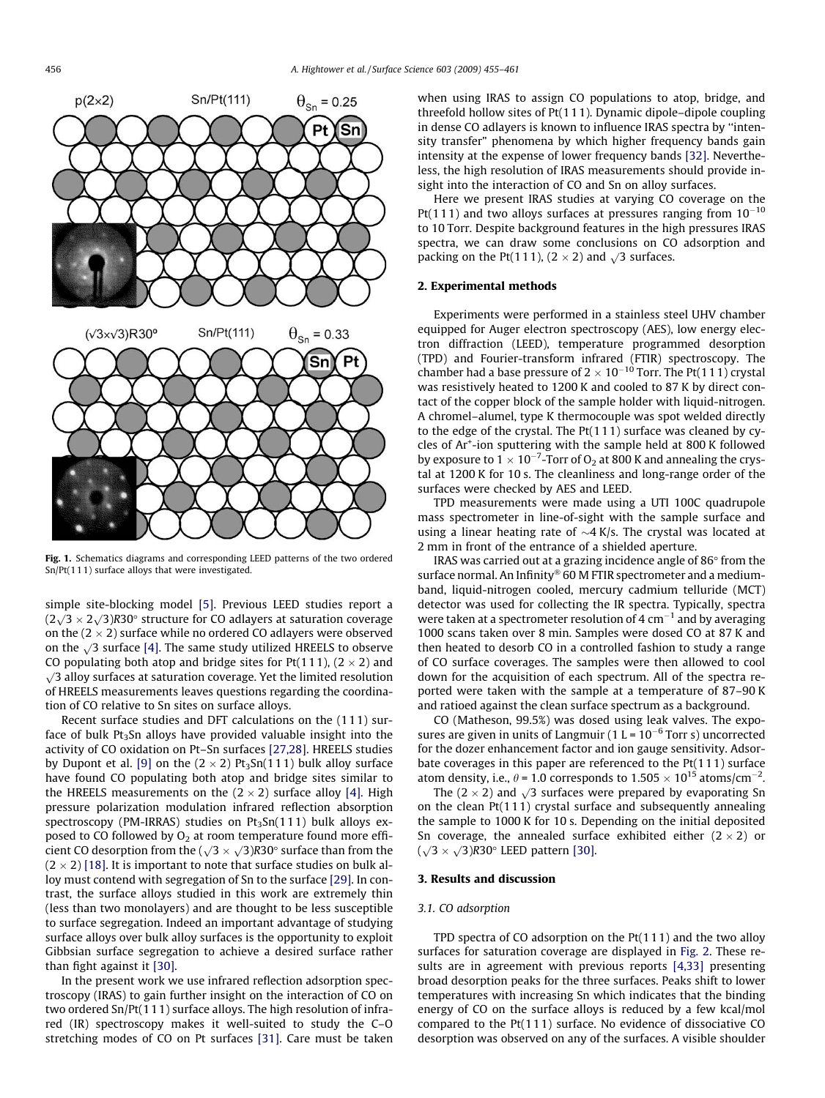<span id="page-1-0"></span>

Fig. 1. Schematics diagrams and corresponding LEED patterns of the two ordered Sn/Pt(11 1) surface alloys that were investigated.

simple site-blocking model [\[5\]](#page-6-0). Previous LEED studies report a  $(2\sqrt{3} \times 2\sqrt{3})$ R30° structure for CO adlayers at saturation coverage on the (2  $\times$  2) surface while no ordered CO adlayers were observed on the  $\sqrt{3}$  surface [\[4\].](#page-6-0) The same study utilized HREELS to observe CO populating both atop and bridge sites for Pt(111), (2  $\times$  2) and  $\sqrt{3}$  alloy surfaces at saturation coverage. Yet the limited resolution of HREELS measurements leaves questions regarding the coordination of CO relative to Sn sites on surface alloys.

Recent surface studies and DFT calculations on the (111) surface of bulk  $Pt<sub>3</sub>Sn$  alloys have provided valuable insight into the activity of CO oxidation on Pt–Sn surfaces [\[27,28\]](#page-6-0). HREELS studies by Dupont et al. [\[9\]](#page-6-0) on the (2  $\times$  2) Pt $_3$ Sn(111) bulk alloy surface have found CO populating both atop and bridge sites similar to the HREELS measurements on the (2  $\times$  2) surface alloy [\[4\]](#page-6-0). High pressure polarization modulation infrared reflection absorption spectroscopy (PM-IRRAS) studies on  $Pt_3Sn(111)$  bulk alloys exposed to CO followed by  $O_2$  at room temperature found more efficient CO desorption from the  $(\sqrt{3} \times \sqrt{3})R30^\circ$  surface than from the  $(2\times2)$  [\[18\]](#page-6-0). It is important to note that surface studies on bulk alloy must contend with segregation of Sn to the surface [\[29\].](#page-6-0) In contrast, the surface alloys studied in this work are extremely thin (less than two monolayers) and are thought to be less susceptible to surface segregation. Indeed an important advantage of studying surface alloys over bulk alloy surfaces is the opportunity to exploit Gibbsian surface segregation to achieve a desired surface rather than fight against it [\[30\]](#page-6-0).

In the present work we use infrared reflection adsorption spectroscopy (IRAS) to gain further insight on the interaction of CO on two ordered Sn/Pt(1 11) surface alloys. The high resolution of infrared (IR) spectroscopy makes it well-suited to study the C–O stretching modes of CO on Pt surfaces [\[31\].](#page-6-0) Care must be taken

when using IRAS to assign CO populations to atop, bridge, and threefold hollow sites of Pt(111). Dynamic dipole–dipole coupling in dense CO adlayers is known to influence IRAS spectra by ''intensity transfer" phenomena by which higher frequency bands gain intensity at the expense of lower frequency bands [\[32\]](#page-6-0). Nevertheless, the high resolution of IRAS measurements should provide insight into the interaction of CO and Sn on alloy surfaces.

Here we present IRAS studies at varying CO coverage on the Pt(111) and two alloys surfaces at pressures ranging from  $10^{-10}$ to 10 Torr. Despite background features in the high pressures IRAS spectra, we can draw some conclusions on CO adsorption and packing on the Pt(111),  $(2 \times 2)$  and  $\sqrt{3}$  surfaces.

## 2. Experimental methods

Experiments were performed in a stainless steel UHV chamber equipped for Auger electron spectroscopy (AES), low energy electron diffraction (LEED), temperature programmed desorption (TPD) and Fourier-transform infrared (FTIR) spectroscopy. The chamber had a base pressure of 2  $\times$  10<sup>-10</sup> Torr. The Pt(111) crystal was resistively heated to 1200 K and cooled to 87 K by direct contact of the copper block of the sample holder with liquid-nitrogen. A chromel–alumel, type K thermocouple was spot welded directly to the edge of the crystal. The Pt(111) surface was cleaned by cycles of Ar<sup>+</sup>-ion sputtering with the sample held at 800 K followed by exposure to  $1 \times 10^{-7}$ -Torr of O<sub>2</sub> at 800 K and annealing the crystal at 1200 K for 10 s. The cleanliness and long-range order of the surfaces were checked by AES and LEED.

TPD measurements were made using a UTI 100C quadrupole mass spectrometer in line-of-sight with the sample surface and using a linear heating rate of  $\sim$ 4 K/s. The crystal was located at 2 mm in front of the entrance of a shielded aperture.

IRAS was carried out at a grazing incidence angle of  $86^{\circ}$  from the surface normal. An Infinity® 60 M FTIR spectrometer and a mediumband, liquid-nitrogen cooled, mercury cadmium telluride (MCT) detector was used for collecting the IR spectra. Typically, spectra were taken at a spectrometer resolution of 4  $cm^{-1}$  and by averaging 1000 scans taken over 8 min. Samples were dosed CO at 87 K and then heated to desorb CO in a controlled fashion to study a range of CO surface coverages. The samples were then allowed to cool down for the acquisition of each spectrum. All of the spectra reported were taken with the sample at a temperature of 87–90 K and ratioed against the clean surface spectrum as a background.

CO (Matheson, 99.5%) was dosed using leak valves. The exposures are given in units of Langmuir (1 L =  $10^{-6}$  Torr s) uncorrected for the dozer enhancement factor and ion gauge sensitivity. Adsorbate coverages in this paper are referenced to the Pt(111) surface atom density, i.e.,  $\theta$  = 1.0 corresponds to 1.505  $\times$  10<sup>15</sup> atoms/cm<sup>-2</sup>.

The  $(2 \times 2)$  and  $\sqrt{3}$  surfaces were prepared by evaporating Sn on the clean Pt(111) crystal surface and subsequently annealing the sample to 1000 K for 10 s. Depending on the initial deposited Sn coverage, the annealed surface exhibited either  $(2 \times 2)$  or  $(\sqrt{3} \times \sqrt{3})$ R30° LEED pattern [\[30\]](#page-6-0).

## 3. Results and discussion

#### 3.1. CO adsorption

TPD spectra of CO adsorption on the Pt(111) and the two alloy surfaces for saturation coverage are displayed in [Fig. 2](#page-2-0). These results are in agreement with previous reports [\[4,33\]](#page-6-0) presenting broad desorption peaks for the three surfaces. Peaks shift to lower temperatures with increasing Sn which indicates that the binding energy of CO on the surface alloys is reduced by a few kcal/mol compared to the Pt(111) surface. No evidence of dissociative CO desorption was observed on any of the surfaces. A visible shoulder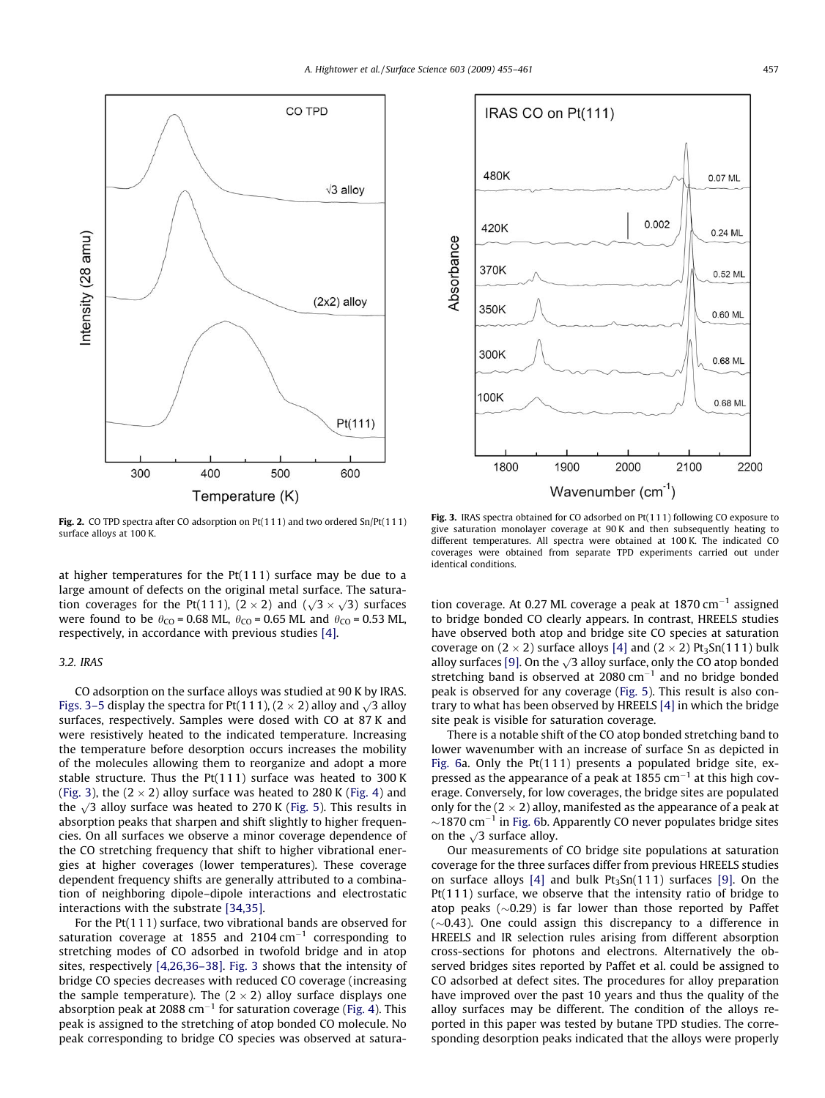<span id="page-2-0"></span>



Fig. 2. CO TPD spectra after CO adsorption on Pt(111) and two ordered Sn/Pt(111) surface alloys at 100 K.

at higher temperatures for the  $Pt(111)$  surface may be due to a large amount of defects on the original metal surface. The saturation coverages for the Pt(111),  $(2 \times 2)$  and  $(\sqrt{3} \times \sqrt{3})$  surfaces were found to be  $\theta_{\text{CO}}$  = 0.68 ML,  $\theta_{\text{CO}}$  = 0.65 ML and  $\theta_{\text{CO}}$  = 0.53 ML, respectively, in accordance with previous studies [\[4\].](#page-6-0)

# 3.2. IRAS

CO adsorption on the surface alloys was studied at 90 K by IRAS. Figs. 3–5 display the spectra for Pt(111),  $(2 \times 2)$  alloy and  $\sqrt{3}$  alloy surfaces, respectively. Samples were dosed with CO at 87 K and were resistively heated to the indicated temperature. Increasing the temperature before desorption occurs increases the mobility of the molecules allowing them to reorganize and adopt a more stable structure. Thus the Pt(111) surface was heated to 300 K (Fig. 3), the (2  $\times$  2) alloy surface was heated to 280 K [\(Fig. 4\)](#page-3-0) and the  $\sqrt{3}$  alloy surface was heated to 270 K ([Fig. 5\)](#page-3-0). This results in absorption peaks that sharpen and shift slightly to higher frequencies. On all surfaces we observe a minor coverage dependence of the CO stretching frequency that shift to higher vibrational energies at higher coverages (lower temperatures). These coverage dependent frequency shifts are generally attributed to a combination of neighboring dipole–dipole interactions and electrostatic interactions with the substrate [\[34,35\].](#page-6-0)

For the Pt(111) surface, two vibrational bands are observed for saturation coverage at 1855 and 2104  $cm^{-1}$  corresponding to stretching modes of CO adsorbed in twofold bridge and in atop sites, respectively [\[4,26,36–38\].](#page-6-0) Fig. 3 shows that the intensity of bridge CO species decreases with reduced CO coverage (increasing the sample temperature). The  $(2 \times 2)$  alloy surface displays one absorption peak at 2088  $cm^{-1}$  for saturation coverage ([Fig. 4\)](#page-3-0). This peak is assigned to the stretching of atop bonded CO molecule. No peak corresponding to bridge CO species was observed at satura-

Fig. 3. IRAS spectra obtained for CO adsorbed on Pt(111) following CO exposure to give saturation monolayer coverage at 90 K and then subsequently heating to different temperatures. All spectra were obtained at 100 K. The indicated CO coverages were obtained from separate TPD experiments carried out under identical conditions.

tion coverage. At 0.27 ML coverage a peak at  $1870 \text{ cm}^{-1}$  assigned to bridge bonded CO clearly appears. In contrast, HREELS studies have observed both atop and bridge site CO species at saturation coverage on  $(2 \times 2)$  surface alloys [\[4\]](#page-6-0) and  $(2 \times 2)$  Pt<sub>3</sub>Sn(111) bulk alloy surfaces [\[9\]](#page-6-0). On the  $\sqrt{3}$  alloy surface, only the CO atop bonded stretching band is observed at  $2080 \text{ cm}^{-1}$  and no bridge bonded peak is observed for any coverage ([Fig. 5](#page-3-0)). This result is also contrary to what has been observed by HREELS [\[4\]](#page-6-0) in which the bridge site peak is visible for saturation coverage.

There is a notable shift of the CO atop bonded stretching band to lower wavenumber with an increase of surface Sn as depicted in [Fig. 6](#page-4-0)a. Only the Pt(111) presents a populated bridge site, expressed as the appearance of a peak at 1855  $cm^{-1}$  at this high coverage. Conversely, for low coverages, the bridge sites are populated only for the (2  $\times$  2) alloy, manifested as the appearance of a peak at  $\sim$ 1870 cm<sup>-1</sup> in [Fig. 6](#page-4-0)b. Apparently CO never populates bridge sites on the  $\sqrt{3}$  surface alloy.

Our measurements of CO bridge site populations at saturation coverage for the three surfaces differ from previous HREELS studies on surface alloys  $[4]$  and bulk  $Pt_3Sn(111)$  surfaces  $[9]$ . On the Pt(111) surface, we observe that the intensity ratio of bridge to atop peaks  $(\sim 0.29)$  is far lower than those reported by Paffet  $(\sim 0.43)$ . One could assign this discrepancy to a difference in HREELS and IR selection rules arising from different absorption cross-sections for photons and electrons. Alternatively the observed bridges sites reported by Paffet et al. could be assigned to CO adsorbed at defect sites. The procedures for alloy preparation have improved over the past 10 years and thus the quality of the alloy surfaces may be different. The condition of the alloys reported in this paper was tested by butane TPD studies. The corresponding desorption peaks indicated that the alloys were properly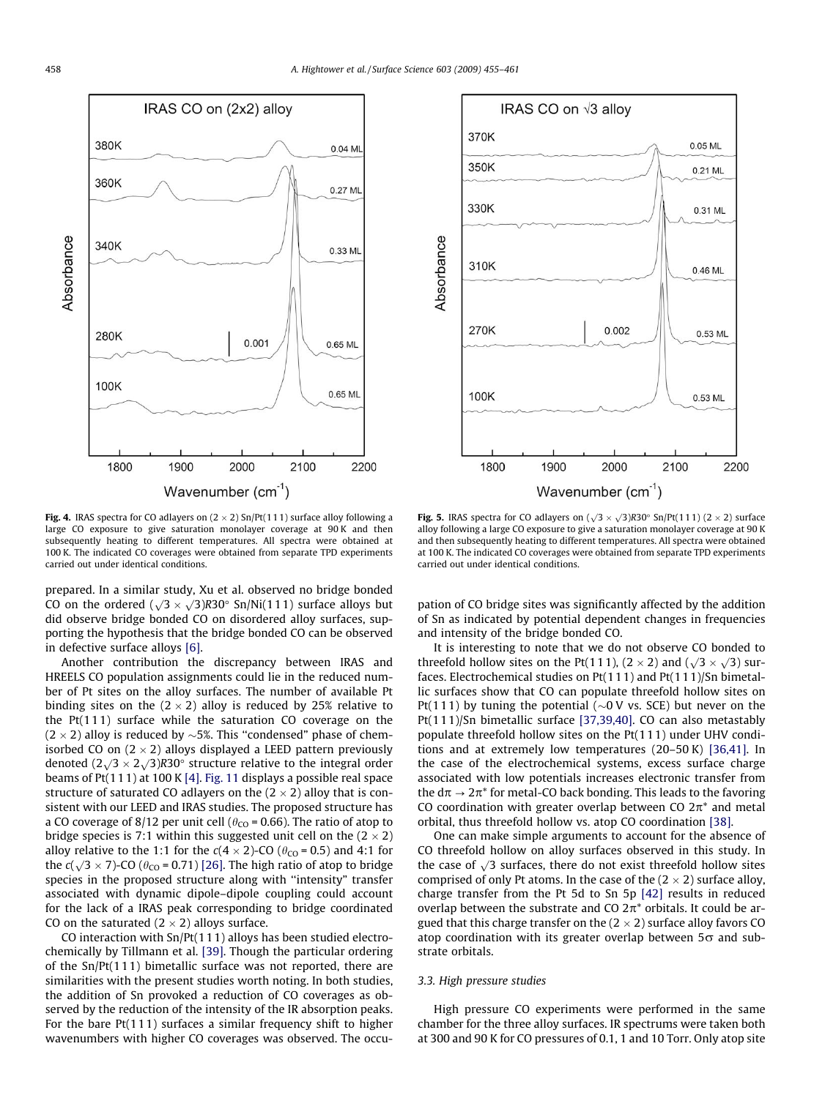<span id="page-3-0"></span>



**Fig. 4.** IRAS spectra for CO adlayers on (2  $\times$  2) Sn/Pt(111) surface alloy following a large CO exposure to give saturation monolayer coverage at 90 K and then subsequently heating to different temperatures. All spectra were obtained at 100 K. The indicated CO coverages were obtained from separate TPD experiments carried out under identical conditions.

prepared. In a similar study, Xu et al. observed no bridge bonded  $\frac{1}{2}$ CO on the ordered  $(\sqrt{3} \times \sqrt{3})R30^\circ$  Sn/Ni(111) surface alloys but did observe bridge bonded CO on disordered alloy surfaces, supporting the hypothesis that the bridge bonded CO can be observed in defective surface alloys [\[6\].](#page-6-0)

Another contribution the discrepancy between IRAS and HREELS CO population assignments could lie in the reduced number of Pt sites on the alloy surfaces. The number of available Pt binding sites on the (2  $\times$  2) alloy is reduced by 25% relative to the Pt(111) surface while the saturation CO coverage on the (2  $\times$  2) alloy is reduced by  ${\sim}$ 5%. This ''condensed" phase of chemisorbed CO on (2  $\times$  2) alloys displayed a LEED pattern previously denoted  $(2\sqrt{3} \times 2\sqrt{3})R30^\circ$  structure relative to the integral order beams of Pt(111) at 100 K [\[4\]](#page-6-0). [Fig. 11](#page-5-0) displays a possible real space structure of saturated CO adlayers on the (2  $\times$  2) alloy that is consistent with our LEED and IRAS studies. The proposed structure has a CO coverage of 8/12 per unit cell ( $\theta_{\rm CO}$  = 0.66). The ratio of atop to bridge species is 7:1 within this suggested unit cell on the (2  $\times$  2) alloy relative to the 1:1 for the c(4  $\times$  2)-CO ( $\theta_{\rm CO}$  = 0.5) and 4:1 for the  $c(\sqrt{3} \times 7)$ -CO ( $\theta_{CO}$  = 0.71) [\[26\].](#page-6-0) The high ratio of atop to bridge species in the proposed structure along with ''intensity" transfer associated with dynamic dipole–dipole coupling could account for the lack of a IRAS peak corresponding to bridge coordinated CO on the saturated (2  $\times$  2) alloys surface.

CO interaction with Sn/Pt(111) alloys has been studied electrochemically by Tillmann et al. [\[39\]](#page-6-0). Though the particular ordering of the Sn/Pt(111) bimetallic surface was not reported, there are similarities with the present studies worth noting. In both studies, the addition of Sn provoked a reduction of CO coverages as observed by the reduction of the intensity of the IR absorption peaks. For the bare Pt(111) surfaces a similar frequency shift to higher wavenumbers with higher CO coverages was observed. The occu-

**Fig. 5.** IRAS spectra for CO adlayers on  $(\sqrt{3} \times \sqrt{3})R30^\circ$  Sn/Pt(111) (2  $\times$  2) surface alloy following a large CO exposure to give a saturation monolayer coverage at 90 K and then subsequently heating to different temperatures. All spectra were obtained at 100 K. The indicated CO coverages were obtained from separate TPD experiments carried out under identical conditions.

pation of CO bridge sites was significantly affected by the addition of Sn as indicated by potential dependent changes in frequencies and intensity of the bridge bonded CO.

It is interesting to note that we do not observe CO bonded to threefold hollow sites on the Pt(111),  $(2 \times 2)$  and  $(\sqrt{3} \times \sqrt{3})$  surfaces. Electrochemical studies on Pt(111) and Pt(111)/Sn bimetallic surfaces show that CO can populate threefold hollow sites on Pt(111) by tuning the potential ( $\sim$ 0 V vs. SCE) but never on the Pt(111)/Sn bimetallic surface [\[37,39,40\].](#page-6-0) CO can also metastably populate threefold hollow sites on the Pt(111) under UHV conditions and at extremely low temperatures (20–50 K) [\[36,41\].](#page-6-0) In the case of the electrochemical systems, excess surface charge associated with low potentials increases electronic transfer from the  $d\pi \rightarrow 2\pi^*$  for metal-CO back bonding. This leads to the favoring CO coordination with greater overlap between CO  $2\pi^*$  and metal orbital, thus threefold hollow vs. atop CO coordination [\[38\].](#page-6-0)

One can make simple arguments to account for the absence of CO threefold hollow on alloy surfaces observed in this study. In the case of  $\sqrt{3}$  surfaces, there do not exist threefold hollow sites comprised of only Pt atoms. In the case of the  $(2 \times 2)$  surface alloy, charge transfer from the Pt 5d to Sn 5p [\[42\]](#page-6-0) results in reduced overlap between the substrate and CO  $2\pi^*$  orbitals. It could be argued that this charge transfer on the (2  $\times$  2) surface alloy favors CO atop coordination with its greater overlap between  $5\sigma$  and substrate orbitals.

### 3.3. High pressure studies

High pressure CO experiments were performed in the same chamber for the three alloy surfaces. IR spectrums were taken both at 300 and 90 K for CO pressures of 0.1, 1 and 10 Torr. Only atop site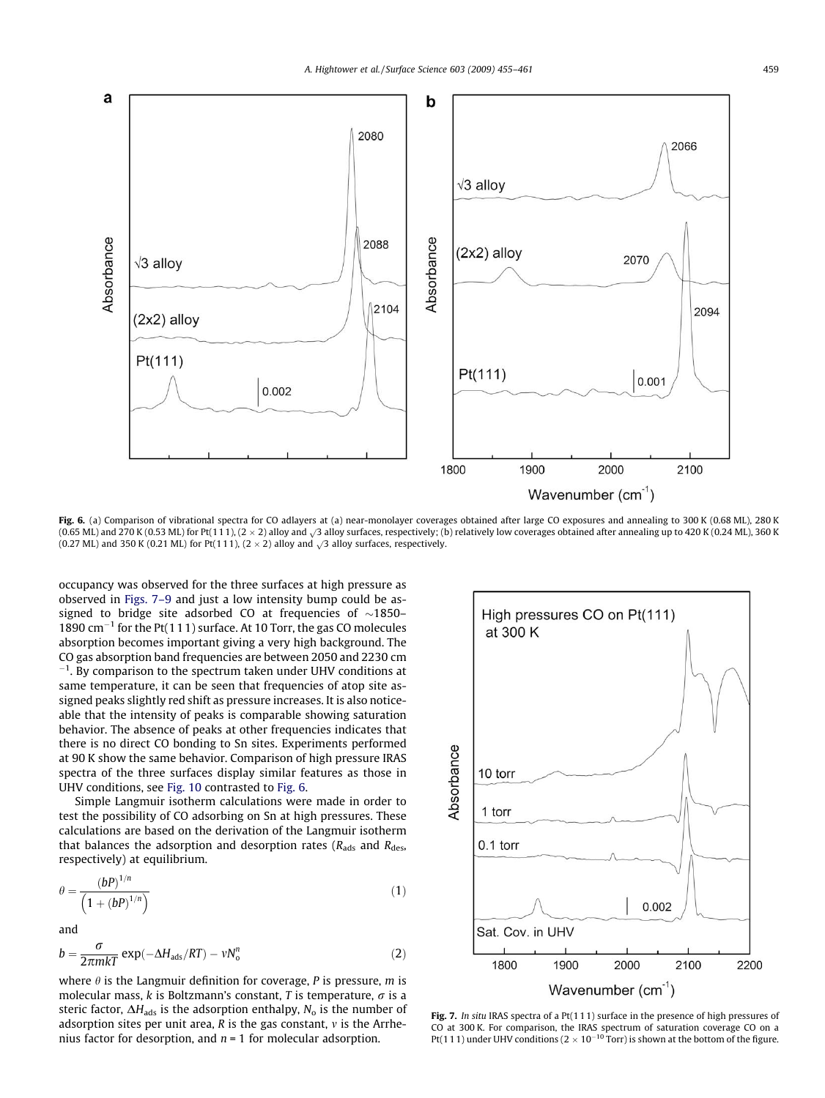<span id="page-4-0"></span>

Fig. 6. (a) Comparison of vibrational spectra for CO adlayers at (a) near-monolayer coverages obtained after large CO exposures and annealing to 300 K (0.68 ML), 280 K (0.65 ML) and 270 K (0.53 ML) for Pt(111), (2  $\times$  2) alloy and  $\sqrt{3}$  alloy surfaces, respectively; (b) relatively low coverages obtained after annealing up to 420 K (0.24 ML), 360 K (0.24 ML), 360 K (0.27 ML) and 350 K (0.21 ML) for Pt(111),  $(2 \times 2)$  alloy and  $\sqrt{3}$  alloy surfaces, respectively.

occupancy was observed for the three surfaces at high pressure as observed in Figs. 7–9 and just a low intensity bump could be assigned to bridge site adsorbed CO at frequencies of  $\sim$ 1850– 1890  $\text{cm}^{-1}$  for the Pt(111) surface. At 10 Torr, the gas CO molecules absorption becomes important giving a very high background. The CO gas absorption band frequencies are between 2050 and 2230 cm  $^{-1}$ . By comparison to the spectrum taken under UHV conditions at same temperature, it can be seen that frequencies of atop site assigned peaks slightly red shift as pressure increases. It is also noticeable that the intensity of peaks is comparable showing saturation behavior. The absence of peaks at other frequencies indicates that there is no direct CO bonding to Sn sites. Experiments performed at 90 K show the same behavior. Comparison of high pressure IRAS spectra of the three surfaces display similar features as those in UHV conditions, see [Fig. 10](#page-5-0) contrasted to Fig. 6.

Simple Langmuir isotherm calculations were made in order to test the possibility of CO adsorbing on Sn at high pressures. These calculations are based on the derivation of the Langmuir isotherm that balances the adsorption and desorption rates ( $R_{ads}$  and  $R_{des}$ , respectively) at equilibrium.

$$
\theta = \frac{(bP)^{1/n}}{\left(1 + (bP)^{1/n}\right)}\tag{1}
$$

and

$$
b = \frac{\sigma}{2\pi m kT} \exp(-\Delta H_{ads}/RT) - vN_0^n \tag{2}
$$

where  $\theta$  is the Langmuir definition for coverage, P is pressure, m is molecular mass, k is Boltzmann's constant, T is temperature,  $\sigma$  is a steric factor,  $\Delta H_{ads}$  is the adsorption enthalpy,  $N_0$  is the number of adsorption sites per unit area, R is the gas constant,  $\nu$  is the Arrhenius factor for desorption, and  $n = 1$  for molecular adsorption.



Fig. 7. In situ IRAS spectra of a Pt(111) surface in the presence of high pressures of CO at 300 K. For comparison, the IRAS spectrum of saturation coverage CO on a Pt(111) under UHV conditions ( $2 \times 10^{-10}$  Torr) is shown at the bottom of the figure.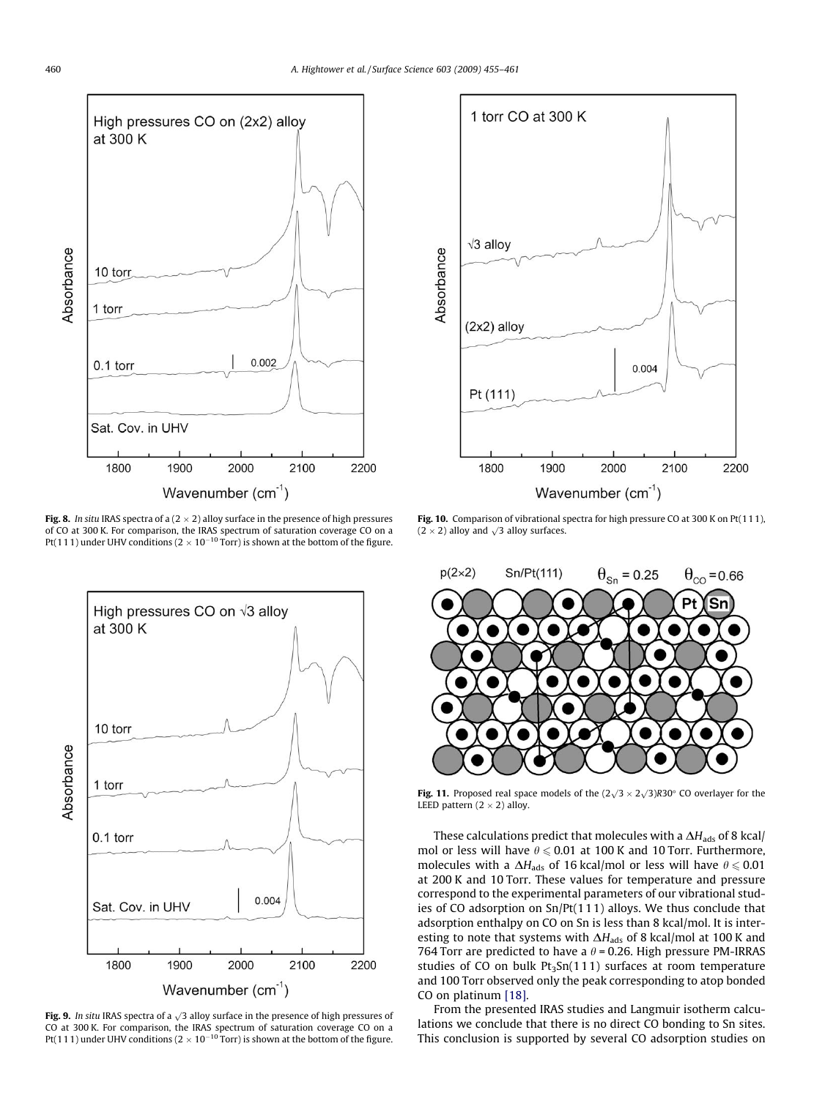<span id="page-5-0"></span>

**Fig. 8.** In situ IRAS spectra of a (2  $\times$  2) alloy surface in the presence of high pressures of CO at 300 K. For comparison, the IRAS spectrum of saturation coverage CO on a Pt(111) under UHV conditions (2  $\times$  10 $^{-10}$  Torr) is shown at the bottom of the figure.



Fig. 9. In situ IRAS spectra of a  $\sqrt{3}$  alloy surface in the presence of high pressures of CO at 300 K. For comparison, the IRAS spectrum of saturation coverage CO on a Pt(111) under UHV conditions (2  $\times$  10<sup>-10</sup> Torr) is shown at the bottom of the figure.



Fig. 10. Comparison of vibrational spectra for high pressure CO at 300 K on Pt(111),  $(2 \times 2)$  alloy and  $\sqrt{3}$  alloy surfaces.



Fig. 11. Proposed real space models of the  $(2\sqrt{3} \times 2\sqrt{3})R30^\circ$  CO overlayer for the LEED pattern  $(2 \times 2)$  alloy.

These calculations predict that molecules with a  $\Delta H_{\text{ads}}$  of 8 kcal/ mol or less will have  $\theta \le 0.01$  at 100 K and 10 Torr. Furthermore, molecules with a  $\Delta H_{\text{ads}}$  of 16 kcal/mol or less will have  $\theta \le 0.01$ at 200 K and 10 Torr. These values for temperature and pressure correspond to the experimental parameters of our vibrational studies of CO adsorption on Sn/Pt(111) alloys. We thus conclude that adsorption enthalpy on CO on Sn is less than 8 kcal/mol. It is interesting to note that systems with  $\Delta H_{\mathrm{ads}}$  of 8 kcal/mol at 100 K and 764 Torr are predicted to have a  $\theta$  = 0.26. High pressure PM-IRRAS studies of CO on bulk  $Pt_3Sn(111)$  surfaces at room temperature and 100 Torr observed only the peak corresponding to atop bonded CO on platinum [\[18\]](#page-6-0).

From the presented IRAS studies and Langmuir isotherm calculations we conclude that there is no direct CO bonding to Sn sites. This conclusion is supported by several CO adsorption studies on